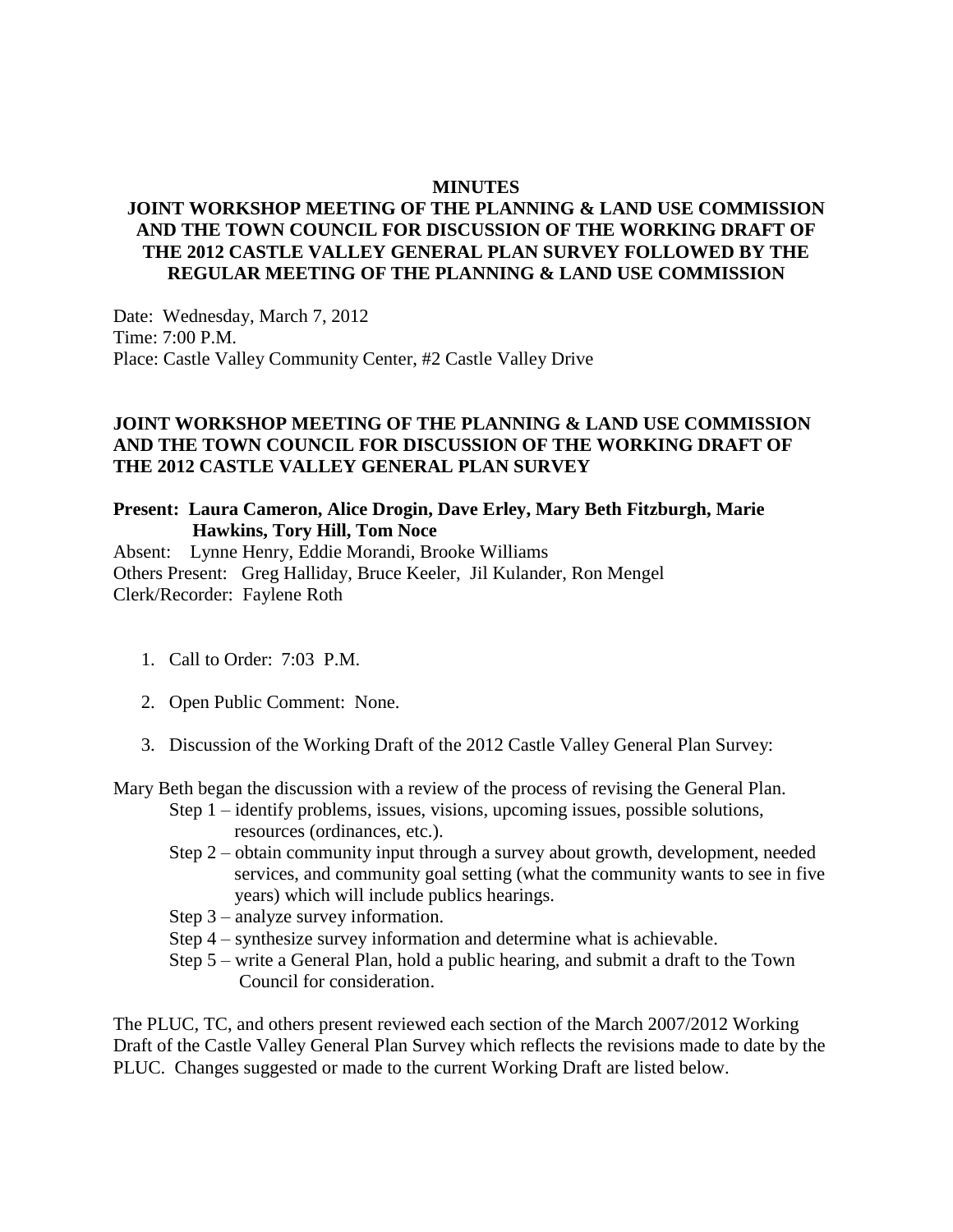#### **MINUTES**

## **JOINT WORKSHOP MEETING OF THE PLANNING & LAND USE COMMISSION AND THE TOWN COUNCIL FOR DISCUSSION OF THE WORKING DRAFT OF THE 2012 CASTLE VALLEY GENERAL PLAN SURVEY FOLLOWED BY THE REGULAR MEETING OF THE PLANNING & LAND USE COMMISSION**

Date: Wednesday, March 7, 2012 Time: 7:00 P.M. Place: Castle Valley Community Center, #2 Castle Valley Drive

## **JOINT WORKSHOP MEETING OF THE PLANNING & LAND USE COMMISSION AND THE TOWN COUNCIL FOR DISCUSSION OF THE WORKING DRAFT OF THE 2012 CASTLE VALLEY GENERAL PLAN SURVEY**

#### **Present: Laura Cameron, Alice Drogin, Dave Erley, Mary Beth Fitzburgh, Marie Hawkins, Tory Hill, Tom Noce**

Absent: Lynne Henry, Eddie Morandi, Brooke Williams Others Present: Greg Halliday, Bruce Keeler, Jil Kulander, Ron Mengel Clerk/Recorder: Faylene Roth

- 1. Call to Order: 7:03 P.M.
- 2. Open Public Comment: None.
- 3. Discussion of the Working Draft of the 2012 Castle Valley General Plan Survey:

Mary Beth began the discussion with a review of the process of revising the General Plan.

- Step 1 identify problems, issues, visions, upcoming issues, possible solutions, resources (ordinances, etc.).
- Step 2 obtain community input through a survey about growth, development, needed services, and community goal setting (what the community wants to see in five years) which will include publics hearings.
- Step 3 analyze survey information.
- Step 4 synthesize survey information and determine what is achievable.
- Step 5 write a General Plan, hold a public hearing, and submit a draft to the Town Council for consideration.

The PLUC, TC, and others present reviewed each section of the March 2007/2012 Working Draft of the Castle Valley General Plan Survey which reflects the revisions made to date by the PLUC. Changes suggested or made to the current Working Draft are listed below.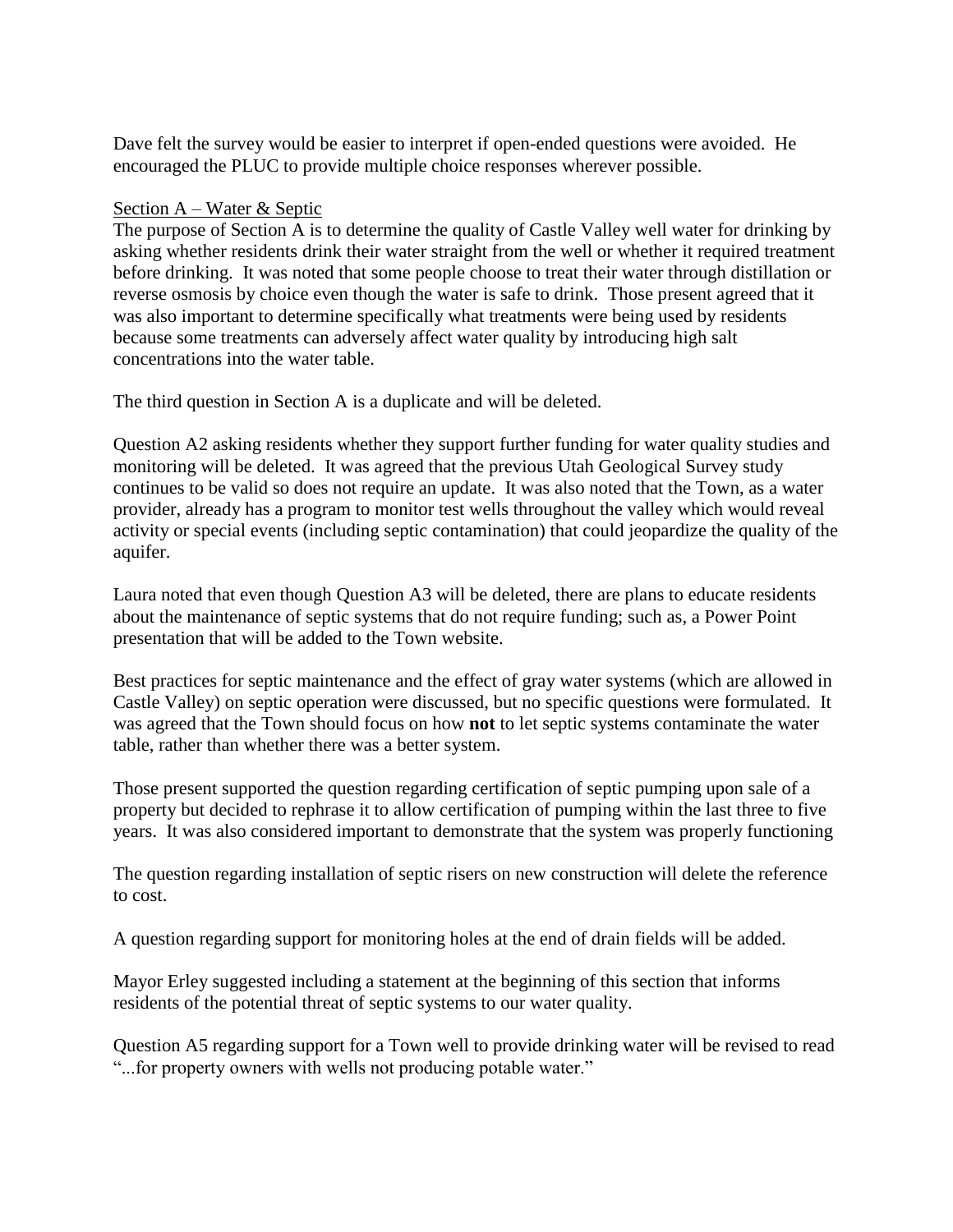Dave felt the survey would be easier to interpret if open-ended questions were avoided. He encouraged the PLUC to provide multiple choice responses wherever possible.

#### Section A – Water & Septic

The purpose of Section A is to determine the quality of Castle Valley well water for drinking by asking whether residents drink their water straight from the well or whether it required treatment before drinking. It was noted that some people choose to treat their water through distillation or reverse osmosis by choice even though the water is safe to drink. Those present agreed that it was also important to determine specifically what treatments were being used by residents because some treatments can adversely affect water quality by introducing high salt concentrations into the water table.

The third question in Section A is a duplicate and will be deleted.

Question A2 asking residents whether they support further funding for water quality studies and monitoring will be deleted. It was agreed that the previous Utah Geological Survey study continues to be valid so does not require an update. It was also noted that the Town, as a water provider, already has a program to monitor test wells throughout the valley which would reveal activity or special events (including septic contamination) that could jeopardize the quality of the aquifer.

Laura noted that even though Question A3 will be deleted, there are plans to educate residents about the maintenance of septic systems that do not require funding; such as, a Power Point presentation that will be added to the Town website.

Best practices for septic maintenance and the effect of gray water systems (which are allowed in Castle Valley) on septic operation were discussed, but no specific questions were formulated. It was agreed that the Town should focus on how **not** to let septic systems contaminate the water table, rather than whether there was a better system.

Those present supported the question regarding certification of septic pumping upon sale of a property but decided to rephrase it to allow certification of pumping within the last three to five years. It was also considered important to demonstrate that the system was properly functioning

The question regarding installation of septic risers on new construction will delete the reference to cost.

A question regarding support for monitoring holes at the end of drain fields will be added.

Mayor Erley suggested including a statement at the beginning of this section that informs residents of the potential threat of septic systems to our water quality.

Question A5 regarding support for a Town well to provide drinking water will be revised to read "...for property owners with wells not producing potable water."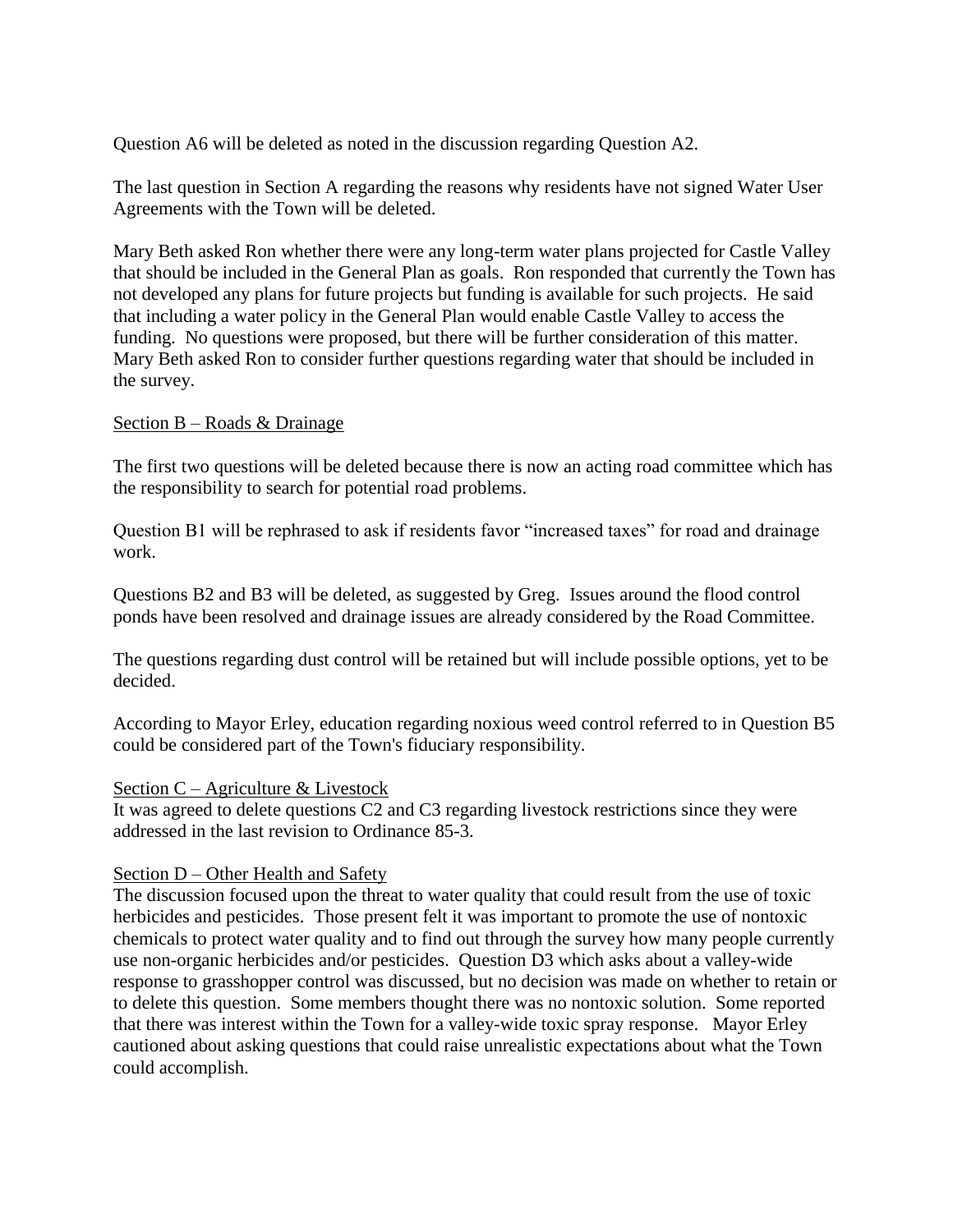Question A6 will be deleted as noted in the discussion regarding Question A2.

The last question in Section A regarding the reasons why residents have not signed Water User Agreements with the Town will be deleted.

Mary Beth asked Ron whether there were any long-term water plans projected for Castle Valley that should be included in the General Plan as goals. Ron responded that currently the Town has not developed any plans for future projects but funding is available for such projects. He said that including a water policy in the General Plan would enable Castle Valley to access the funding. No questions were proposed, but there will be further consideration of this matter. Mary Beth asked Ron to consider further questions regarding water that should be included in the survey.

#### Section B – Roads & Drainage

The first two questions will be deleted because there is now an acting road committee which has the responsibility to search for potential road problems.

Question B1 will be rephrased to ask if residents favor "increased taxes" for road and drainage work.

Questions B2 and B3 will be deleted, as suggested by Greg. Issues around the flood control ponds have been resolved and drainage issues are already considered by the Road Committee.

The questions regarding dust control will be retained but will include possible options, yet to be decided.

According to Mayor Erley, education regarding noxious weed control referred to in Question B5 could be considered part of the Town's fiduciary responsibility.

#### Section C – Agriculture & Livestock

It was agreed to delete questions C2 and C3 regarding livestock restrictions since they were addressed in the last revision to Ordinance 85-3.

#### Section D – Other Health and Safety

The discussion focused upon the threat to water quality that could result from the use of toxic herbicides and pesticides. Those present felt it was important to promote the use of nontoxic chemicals to protect water quality and to find out through the survey how many people currently use non-organic herbicides and/or pesticides. Question D3 which asks about a valley-wide response to grasshopper control was discussed, but no decision was made on whether to retain or to delete this question. Some members thought there was no nontoxic solution. Some reported that there was interest within the Town for a valley-wide toxic spray response. Mayor Erley cautioned about asking questions that could raise unrealistic expectations about what the Town could accomplish.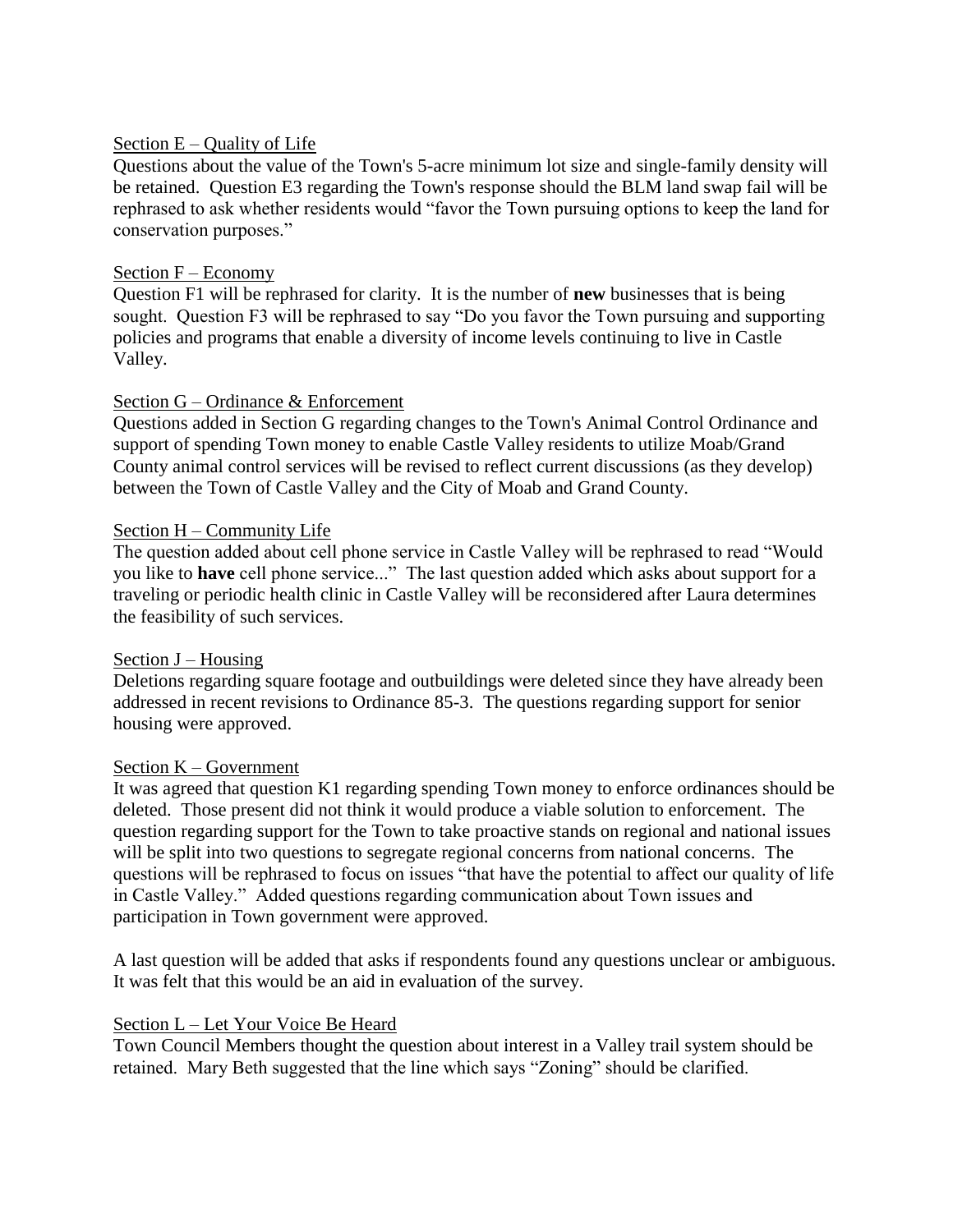#### Section  $E -$ Quality of Life

Questions about the value of the Town's 5-acre minimum lot size and single-family density will be retained. Question E3 regarding the Town's response should the BLM land swap fail will be rephrased to ask whether residents would "favor the Town pursuing options to keep the land for conservation purposes."

## Section F – Economy

Question F1 will be rephrased for clarity. It is the number of **new** businesses that is being sought. Question F3 will be rephrased to say "Do you favor the Town pursuing and supporting policies and programs that enable a diversity of income levels continuing to live in Castle Valley.

## Section G – Ordinance & Enforcement

Questions added in Section G regarding changes to the Town's Animal Control Ordinance and support of spending Town money to enable Castle Valley residents to utilize Moab/Grand County animal control services will be revised to reflect current discussions (as they develop) between the Town of Castle Valley and the City of Moab and Grand County.

## Section H – Community Life

The question added about cell phone service in Castle Valley will be rephrased to read "Would you like to **have** cell phone service..." The last question added which asks about support for a traveling or periodic health clinic in Castle Valley will be reconsidered after Laura determines the feasibility of such services.

#### Section J – Housing

Deletions regarding square footage and outbuildings were deleted since they have already been addressed in recent revisions to Ordinance 85-3. The questions regarding support for senior housing were approved.

#### Section K – Government

It was agreed that question K1 regarding spending Town money to enforce ordinances should be deleted. Those present did not think it would produce a viable solution to enforcement. The question regarding support for the Town to take proactive stands on regional and national issues will be split into two questions to segregate regional concerns from national concerns. The questions will be rephrased to focus on issues "that have the potential to affect our quality of life in Castle Valley." Added questions regarding communication about Town issues and participation in Town government were approved.

A last question will be added that asks if respondents found any questions unclear or ambiguous. It was felt that this would be an aid in evaluation of the survey.

#### Section L – Let Your Voice Be Heard

Town Council Members thought the question about interest in a Valley trail system should be retained. Mary Beth suggested that the line which says "Zoning" should be clarified.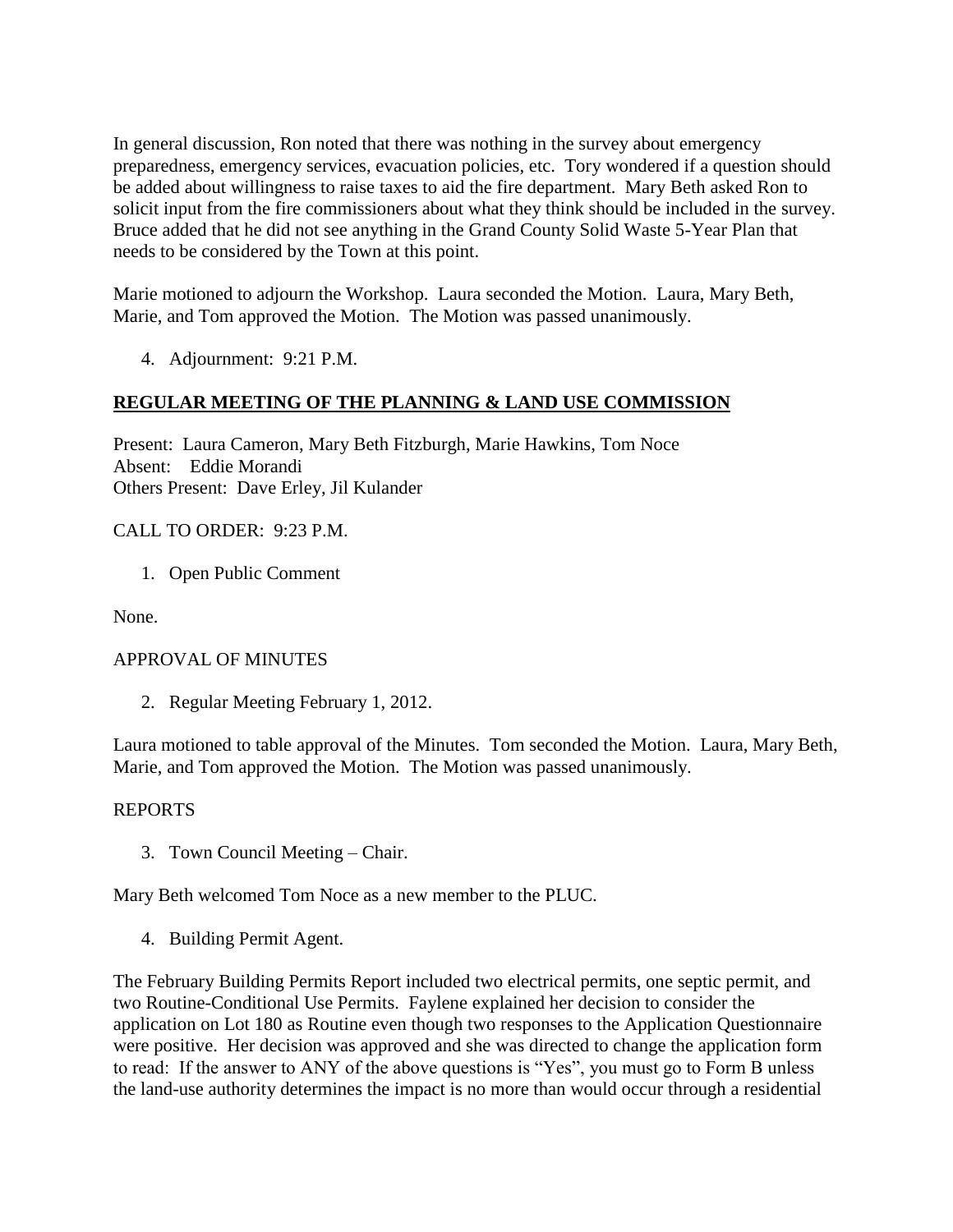In general discussion, Ron noted that there was nothing in the survey about emergency preparedness, emergency services, evacuation policies, etc. Tory wondered if a question should be added about willingness to raise taxes to aid the fire department. Mary Beth asked Ron to solicit input from the fire commissioners about what they think should be included in the survey. Bruce added that he did not see anything in the Grand County Solid Waste 5-Year Plan that needs to be considered by the Town at this point.

Marie motioned to adjourn the Workshop. Laura seconded the Motion. Laura, Mary Beth, Marie, and Tom approved the Motion. The Motion was passed unanimously.

4. Adjournment: 9:21 P.M.

# **REGULAR MEETING OF THE PLANNING & LAND USE COMMISSION**

Present: Laura Cameron, Mary Beth Fitzburgh, Marie Hawkins, Tom Noce Absent: Eddie Morandi Others Present: Dave Erley, Jil Kulander

CALL TO ORDER: 9:23 P.M.

1. Open Public Comment

None.

#### APPROVAL OF MINUTES

2. Regular Meeting February 1, 2012.

Laura motioned to table approval of the Minutes. Tom seconded the Motion. Laura, Mary Beth, Marie, and Tom approved the Motion. The Motion was passed unanimously.

#### REPORTS

3. Town Council Meeting – Chair.

Mary Beth welcomed Tom Noce as a new member to the PLUC.

4. Building Permit Agent.

The February Building Permits Report included two electrical permits, one septic permit, and two Routine-Conditional Use Permits. Faylene explained her decision to consider the application on Lot 180 as Routine even though two responses to the Application Questionnaire were positive. Her decision was approved and she was directed to change the application form to read: If the answer to ANY of the above questions is "Yes", you must go to Form B unless the land-use authority determines the impact is no more than would occur through a residential